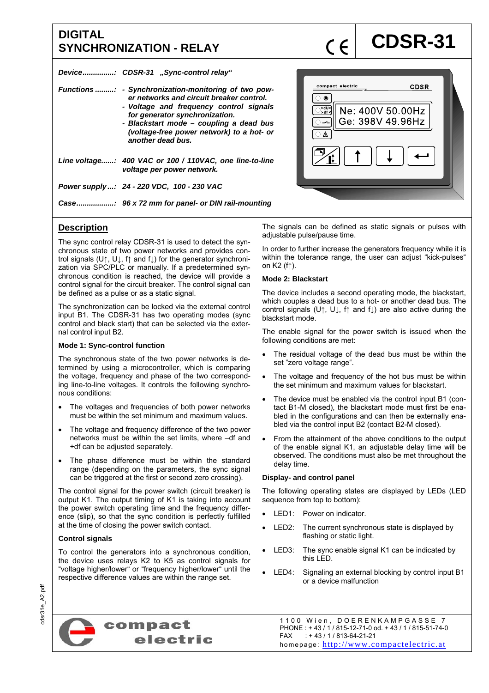# **DIGITAL**  DIGITAL<br>SYNCHRONIZATION - RELAY **COSR-31**

*Device ............... : CDSR-31 "Sync-control relay"* 

| Functions : - Synchronization-monitoring of two pow-<br>er networks and circuit breaker control.<br>- Voltage and frequency control signals<br>for generator synchronization.<br>- Blackstart mode - coupling a dead bus<br>(voltage-free power network) to a hot- or<br>another dead bus. |
|--------------------------------------------------------------------------------------------------------------------------------------------------------------------------------------------------------------------------------------------------------------------------------------------|
| Line voltage: 400 VAC or 100 / 110VAC, one line-to-line<br>voltage per power network.                                                                                                                                                                                                      |
| Power supply : 24 - 220 VDC, 100 - 230 VAC                                                                                                                                                                                                                                                 |
|                                                                                                                                                                                                                                                                                            |



## **Description**

The sync control relay CDSR-31 is used to detect the synchronous state of two power networks and provides control signals (U↑, U↓, f↑ and f↓) for the generator synchronization via SPC/PLC or manually. If a predetermined synchronous condition is reached, the device will provide a control signal for the circuit breaker. The control signal can be defined as a pulse or as a static signal.

The synchronization can be locked via the external control input B1. The CDSR-31 has two operating modes (sync control and black start) that can be selected via the external control input B2.

### **Mode 1: Sync-control function**

The synchronous state of the two power networks is determined by using a microcontroller, which is comparing the voltage, frequency and phase of the two corresponding line-to-line voltages. It controls the following synchronous conditions:

- The voltages and frequencies of both power networks must be within the set minimum and maximum values.
- The voltage and frequency difference of the two power networks must be within the set limits, where –df and +df can be adjusted separately.
- The phase difference must be within the standard range (depending on the parameters, the sync signal can be triggered at the first or second zero crossing).

The control signal for the power switch (circuit breaker) is output K1. The output timing of K1 is taking into account the power switch operating time and the frequency difference (slip), so that the sync condition is perfectly fulfilled at the time of closing the power switch contact.

### **Control signals**

To control the generators into a synchronous condition, the device uses relays K2 to K5 as control signals for "voltage higher/lower" or "frequency higher/lower" until the respective difference values are within the range set.

The signals can be defined as static signals or pulses with adjustable pulse/pause time.

In order to further increase the generators frequency while it is within the tolerance range, the user can adjust "kick-pulses" on K2 (f↑).

#### **Mode 2: Blackstart**

The device includes a second operating mode, the blackstart, which couples a dead bus to a hot- or another dead bus. The control signals (U↑, U↓, f↑ and f↓) are also active during the blackstart mode.

The enable signal for the power switch is issued when the following conditions are met:

- The residual voltage of the dead bus must be within the set "zero voltage range".
- The voltage and frequency of the hot bus must be within the set minimum and maximum values for blackstart.
- The device must be enabled via the control input B1 (contact B1-M closed), the blackstart mode must first be enabled in the configurations and can then be externally enabled via the control input B2 (contact B2-M closed).
- From the attainment of the above conditions to the output of the enable signal K1, an adjustable delay time will be observed. The conditions must also be met throughout the delay time.

#### **Display- and control panel**

The following operating states are displayed by LEDs (LED sequence from top to bottom):

- LED1: Power on indicator.
- LED2: The current synchronous state is displayed by flashing or static light.
- LED3: The sync enable signal K1 can be indicated by this LED.
- LED4: Signaling an external blocking by control input B1 or a device malfunction



1100 Wien, DOERENKAMPGASSE 7 PHONE : + 43 / 1 / 815-12-71-0 od. + 43 / 1 / 815-51-74-0 FAX : + 43 / 1 / 813-64-21-21 homepage: http://www.compactelectric.at

cdsr31e\_A2.pdf cdsr31e\_A2.pdf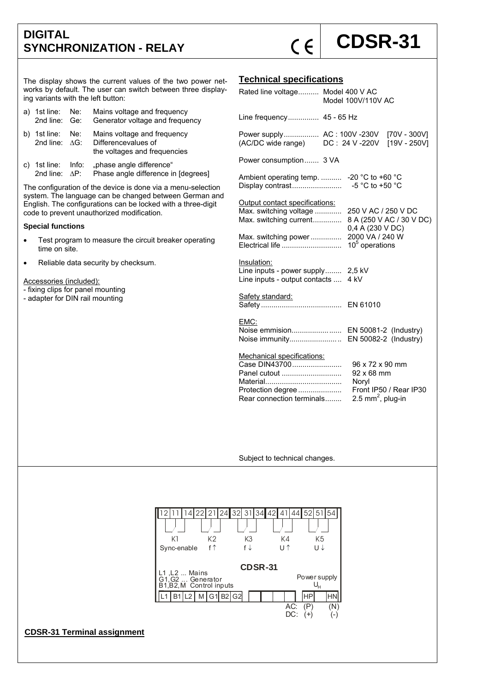## **DIGITAL**  DIGITAL<br>SYNCHRONIZATION - RELAY **COSR-31**

The display shows the current values of the two power networks by default. The user can switch between three displaying variants with the left button:

| a) 1st line: Ne:<br>2nd line: Ge:            | Mains voltage and frequency<br>Generator voltage and frequency                     |
|----------------------------------------------|------------------------------------------------------------------------------------|
| b) 1st line: Ne:<br>2nd line: $\triangle$ G: | Mains voltage and frequency<br>Differencevalues of<br>the voltages and frequencies |
|                                              | c) 1st line: Info: "phase angle difference"                                        |

2nd line:  $\Delta P$ : Phase angle difference in [degrees]

The configuration of the device is done via a menu-selection system. The language can be changed between German and English. The configurations can be locked with a three-digit code to prevent unauthorized modification.

#### **Special functions**

• Test program to measure the circuit breaker operating time on site.

• Reliable data security by checksum.

Accessories (included):

- fixing clips for panel mounting

- adapter for DIN rail mounting

## **Technical specifications**

| Rated line voltage Model 400 V AC                                                                             | Model 100V/110V AC                                                                                |  |  |  |
|---------------------------------------------------------------------------------------------------------------|---------------------------------------------------------------------------------------------------|--|--|--|
| Line frequency 45 - 65 Hz                                                                                     |                                                                                                   |  |  |  |
| Power supply AC: 100V -230V<br>(AC/DC wide range) DC: 24 V-220V                                               | [70V - 300V]<br>$[19V - 250V]$                                                                    |  |  |  |
| Power consumption 3 VA                                                                                        |                                                                                                   |  |  |  |
| Ambient operating temp.<br>Display contrast                                                                   | -20 °C to +60 °C<br>-5 °C to +50 °C                                                               |  |  |  |
| Output contact specifications:<br>Max. switching voltage<br>Max. switching current                            | 250 V AC / 250 V DC<br>8 A (250 V AC / 30 V DC)<br>0,4 A (230 V DC)                               |  |  |  |
| Max. switching power<br>Electrical life                                                                       | 2000 VA / 240 W<br>$105$ operations                                                               |  |  |  |
| Insulation:<br>Line inputs - power supply<br>Line inputs - output contacts                                    | 2,5 kV<br>4 kV                                                                                    |  |  |  |
| Safety standard:                                                                                              |                                                                                                   |  |  |  |
| EMC:<br>Noise emmision<br>Noise immunity                                                                      | EN 50081-2 (Industry)<br>EN 50082-2 (Industry)                                                    |  |  |  |
| Mechanical specifications:<br>Case DIN43700<br>Panel cutout<br>Protection degree<br>Rear connection terminals | 96 x 72 x 90 mm<br>92 x 68 mm<br>Noryl<br>Front IP50 / Rear IP30<br>2.5 mm <sup>2</sup> , plug-in |  |  |  |

Subject to technical changes.

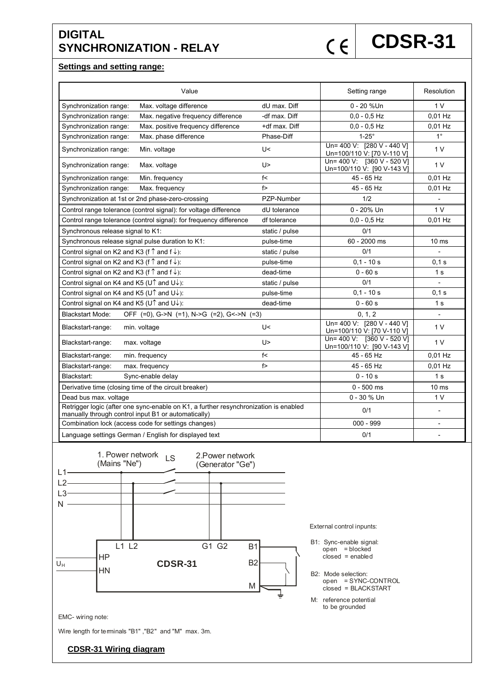# **DIGITAL**  DIGITAL SYNCHRONIZATION - RELAY  $\zeta \in |$  **CDSR-31**

### **Settings and setting range:**

| Value                                                                                                                                       | Setting range  | Resolution                                               |                  |
|---------------------------------------------------------------------------------------------------------------------------------------------|----------------|----------------------------------------------------------|------------------|
| Max. voltage difference<br>Synchronization range:                                                                                           | dU max. Diff   | 0 - 20 %Un                                               | 1 V              |
| Max. negative frequency difference<br>Synchronization range:                                                                                | -df max. Diff  | $0.0 - 0.5$ Hz                                           | $0.01$ Hz        |
| Max. positive frequency difference<br>Synchronization range:                                                                                | +df max. Diff  | $0,0 - 0,5$ Hz                                           | $0.01$ Hz        |
| Max. phase difference<br>Synchronization range:                                                                                             | Phase-Diff     | $1-25^\circ$                                             | $1^{\circ}$      |
| Synchronization range:<br>Min. voltage                                                                                                      | U<             | Un= 400 V: [280 V - 440 V]<br>Un=100/110 V: [70 V-110 V] | 1 V              |
| Synchronization range:<br>Max. voltage                                                                                                      | U>             | Un= 400 V: [360 V - 520 V]<br>Un=100/110 V: [90 V-143 V] | 1 <sub>V</sub>   |
| Synchronization range:<br>Min. frequency                                                                                                    | f<             | 45 - 65 Hz                                               | 0,01 Hz          |
| Synchronization range:<br>Max. frequency                                                                                                    | f              | 45 - 65 Hz                                               | 0,01 Hz          |
| Synchronization at 1st or 2nd phase-zero-crossing                                                                                           | PZP-Number     | 1/2                                                      |                  |
| Control range tolerance (control signal): for voltage difference                                                                            | dU tolerance   | $0 - 20%$ Un                                             | 1 <sub>V</sub>   |
| Control range tolerance (control signal): for frequency difference                                                                          | df tolerance   | $0.0 - 0.5$ Hz                                           | 0,01 Hz          |
| Synchronous release signal to K1:                                                                                                           | static / pulse | 0/1                                                      |                  |
| Synchronous release signal pulse duration to K1:                                                                                            | pulse-time     | 60 - 2000 ms                                             | 10 <sub>ms</sub> |
| Control signal on K2 and K3 (f $\uparrow$ and f $\downarrow$ ):                                                                             | static / pulse | 0/1                                                      |                  |
| Control signal on K2 and K3 (f $\uparrow$ and f $\downarrow$ ):                                                                             | pulse-time     | $0.1 - 10 s$                                             | 0.1 s            |
| Control signal on K2 and K3 (f $\uparrow$ and f $\downarrow$ ):                                                                             | dead-time      | $0 - 60 s$                                               | 1 <sub>s</sub>   |
| Control signal on K4 and K5 (U <sup><math>\uparrow</math></sup> and U $\downarrow$ ):                                                       | static / pulse | 0/1                                                      |                  |
| Control signal on K4 and K5 (U↑ and U↓):                                                                                                    | pulse-time     | $0,1 - 10s$                                              | 0.1 s            |
| Control signal on K4 and K5 (U↑ and U↓):                                                                                                    | dead-time      | $0 - 60 s$                                               | 1 <sub>s</sub>   |
| OFF (=0), G->N (=1), N->G (=2), G<->N (=3)<br><b>Blackstart Mode:</b>                                                                       | 0, 1, 2        | $\overline{a}$                                           |                  |
| Blackstart-range:<br>min. voltage                                                                                                           | U<             | Un= 400 V: [280 V - 440 V]<br>Un=100/110 V: [70 V-110 V] | 1 <sub>V</sub>   |
| Blackstart-range:<br>max. voltage                                                                                                           | U>             | Un= 400 V: [360 V - 520 V]<br>Un=100/110 V: [90 V-143 V] | 1 <sub>V</sub>   |
| Blackstart-range:<br>min. frequency                                                                                                         | f<             | 45 - 65 Hz                                               | $0.01$ Hz        |
| Blackstart-range:<br>max. frequency                                                                                                         | f>             | 45 - 65 Hz                                               | $0.01$ Hz        |
| Blackstart:<br>Sync-enable delay                                                                                                            |                | $0 - 10s$                                                | 1 <sub>s</sub>   |
| Derivative time (closing time of the circuit breaker)                                                                                       |                | $0 - 500$ ms                                             | 10 <sub>ms</sub> |
| Dead bus max. voltage                                                                                                                       | 0 - 30 % Un    | 1 <sub>V</sub>                                           |                  |
| Retrigger logic (after one sync-enable on K1, a further resynchronization is enabled<br>manually through control input B1 or automatically) | 0/1            |                                                          |                  |
| Combination lock (access code for settings changes)                                                                                         | $000 - 999$    |                                                          |                  |
| Language settings German / English for displayed text                                                                                       | 0/1            | $\overline{\phantom{a}}$                                 |                  |



EMC- wiring note:

Wire length for terminals "B1" ,"B2" and "M" max. 3m.

## **CDSR-31 Wiring diagram**